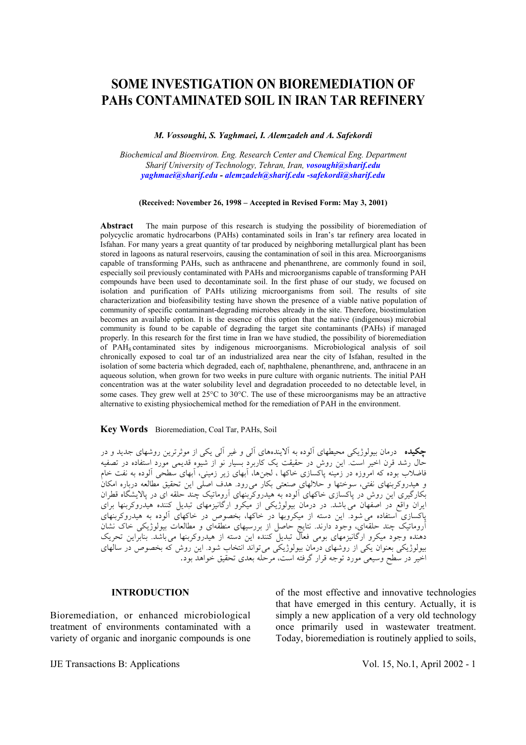# **SOME INVESTIGATION ON BIOREMEDIATION OF PAHs CONTAMINATED SOIL IN IRAN TAR REFINERY**

*M. Vossoughi, S. Yaghmaei, I. Alemzadeh and A. Safekordi* 

*Biochemical and Bioenviron. Eng. Research Center and Chemical Eng. Department Sharif University of Technology, Tehran, Iran, vosoughi@sharif.edu yaghmaei@sharif.edu - alemzadeh@sharif.edu -safekordi@sharif.edu* 

**(Received: November 26, 1998 – Accepted in Revised Form: May 3, 2001)** 

**Abstract** The main purpose of this research is studying the possibility of bioremediation of polycyclic aromatic hydrocarbons (PAHs) contaminated soils in Iran's tar refinery area located in Isfahan. For many years a great quantity of tar produced by neighboring metallurgical plant has been stored in lagoons as natural reservoirs, causing the contamination of soil in this area. Microorganisms capable of transforming PAHs, such as anthracene and phenanthrene, are commonly found in soil, especially soil previously contaminated with PAHs and microorganisms capable of transforming PAH compounds have been used to decontaminate soil. In the first phase of our study, we focused on isolation and purification of PAHs utilizing microorganisms from soil. The results of site characterization and biofeasibility testing have shown the presence of a viable native population of community of specific contaminant-degrading microbes already in the site. Therefore, biostimulation becomes an available option. It is the essence of this option that the native (indigenous) microbial community is found to be capable of degrading the target site contaminants (PAHs) if managed properly. In this research for the first time in Iran we have studied, the possibility of bioremediation of PAHS contaminated sites by indigenous microorganisms. Microbiological analysis of soil chronically exposed to coal tar of an industrialized area near the city of Isfahan, resulted in the isolation of some bacteria which degraded, each of, naphthalene, phenanthrene, and, anthracene in an aqueous solution, when grown for two weeks in pure culture with organic nutrients. The initial PAH concentration was at the water solubility level and degradation proceeded to no detectable level, in some cases. They grew well at  $25^{\circ}$ C to  $30^{\circ}$ C. The use of these microorganisms may be an attractive alternative to existing physiochemical method for the remediation of PAH in the environment.

#### **Key Words**Bioremediation, Coal Tar, PAHs, Soil

**چكيده** درمان بيولوژيكي محيطهاي آلوده به آلايندههاي آلي و غير آلي يكي از موثرترين روشهاي جديد و در حال رشد قرن اخير است. اين روش در حقيقت يك كاربرد بسيار نو از شيوه قديمي مورد استفاده در تصفيه فاضلاب بوده كه امروزه در زمينه پاكسازي خاكها ، لجنها، آبهاي زير زميني، آبهاي سطحي آلوده به نفت خام و هيدروكربنهاي نفتي، سوختها و حلالهاي صنعتي بكار ميرود. هدف اصلي اين تحقيق مطالعه درباره امكان بكارگيري اين روش در پاكسازي خاكهاي آلوده به هيدروكربنهاي آروماتيك چند حلقه اي در پالايشگاه قطران ايران واقع در اصفهان مي باشد. در درمان بيولوژيكي از ميكرو ارگانيزمهاي تبديل كننده هيدروكربنها براي پاكسازي استفاده ميشود. اين دسته از ميكروبها در خاكها، بخصوص در خاكهاي آلوده به هيدروكربنهاي آروماتيك چند حلقهاي، وجود دارند. نتايج حاصل از بررسيهاي منطقهاي و مطالعات بيولوژيكي خاك نشان دهنده وجود ميكرو ارگانيزمهاي بومي فعال تبديل كننده اين دسته از هيدروكربنها ميباشد. بنابراين تحريك بيولوژيكي بعنوان يكي از روشهاي درمان بيولوژيكي ميتواند انتخاب شود. اين روش كه بخصوص در سالهاي اخير در سطح وسيعي مورد توجه قرار گرفته است، مرحله بعدي تحقيق خواهد بود.

#### **INTRODUCTION**

Bioremediation, or enhanced microbiological treatment of environments contaminated with a variety of organic and inorganic compounds is one of the most effective and innovative technologies that have emerged in this century. Actually, it is simply a new application of a very old technology once primarily used in wastewater treatment. Today, bioremediation is routinely applied to soils,

IJE Transactions B: Applications Vol. 15, No.1, April 2002 - 1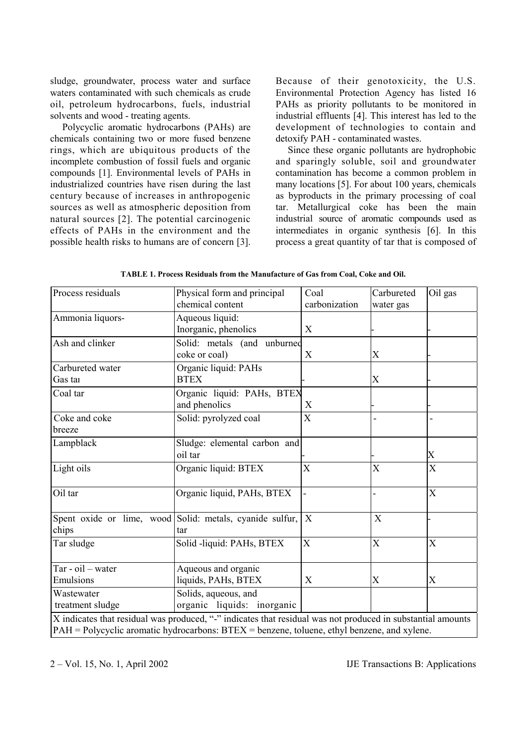sludge, groundwater, process water and surface waters contaminated with such chemicals as crude oil, petroleum hydrocarbons, fuels, industrial solvents and wood - treating agents.

 Polycyclic aromatic hydrocarbons (PAHs) are chemicals containing two or more fused benzene rings, which are ubiquitous products of the incomplete combustion of fossil fuels and organic compounds [1]. Environmental levels of PAHs in industrialized countries have risen during the last century because of increases in anthropogenic sources as well as atmospheric deposition from natural sources [2]. The potential carcinogenic effects of PAHs in the environment and the possible health risks to humans are of concern [3]. Because of their genotoxicity, the U.S. Environmental Protection Agency has listed 16 PAHs as priority pollutants to be monitored in industrial effluents [4]. This interest has led to the development of technologies to contain and detoxify PAH - contaminated wastes.

 Since these organic pollutants are hydrophobic and sparingly soluble, soil and groundwater contamination has become a common problem in many locations [5]. For about 100 years, chemicals as byproducts in the primary processing of coal tar. Metallurgical coke has been the main industrial source of aromatic compounds used as intermediates in organic synthesis [6]. In this process a great quantity of tar that is composed of

| Process residuals   | Physical form and principal                                                                                 | Coal             | Carbureted     | Oil gas        |
|---------------------|-------------------------------------------------------------------------------------------------------------|------------------|----------------|----------------|
|                     | chemical content                                                                                            | carbonization    | water gas      |                |
| Ammonia liquors-    | Aqueous liquid:                                                                                             |                  |                |                |
|                     | Inorganic, phenolics                                                                                        | X                |                |                |
| Ash and clinker     | Solid: metals (and unburned                                                                                 |                  |                |                |
|                     | coke or coal)                                                                                               | X                | $\rm X$        |                |
| Carbureted water    | Organic liquid: PAHs                                                                                        |                  |                |                |
| Gas tai             | <b>BTEX</b>                                                                                                 |                  | X              |                |
| Coal tar            | Organic liquid: PAHs, BTEX                                                                                  |                  |                |                |
|                     | and phenolics                                                                                               | X                |                |                |
| Coke and coke       | Solid: pyrolyzed coal                                                                                       | X                |                |                |
| breeze              |                                                                                                             |                  |                |                |
| Lampblack           | Sludge: elemental carbon and                                                                                |                  |                |                |
|                     | oil tar                                                                                                     |                  |                | X              |
| Light oils          | Organic liquid: BTEX                                                                                        | $\mathbf X$      | X              | $\mathbf X$    |
| Oil tar             | Organic liquid, PAHs, BTEX                                                                                  |                  |                | X              |
|                     |                                                                                                             |                  |                |                |
|                     | Spent oxide or lime, wood Solid: metals, cyanide sulfur,                                                    | $\boldsymbol{X}$ | X              |                |
| chips               | tar                                                                                                         |                  |                |                |
| Tar sludge          | Solid -liquid: PAHs, BTEX                                                                                   | $\overline{X}$   | $\overline{X}$ | $\overline{X}$ |
|                     |                                                                                                             |                  |                |                |
| $Tar - oil - water$ | Aqueous and organic                                                                                         |                  |                |                |
| Emulsions           | liquids, PAHs, BTEX                                                                                         | X                | X              | X              |
| Wastewater          | Solids, aqueous, and                                                                                        |                  |                |                |
| treatment sludge    | organic liquids: inorganic                                                                                  |                  |                |                |
|                     | X indicates that residual was produced, "-" indicates that residual was not produced in substantial amounts |                  |                |                |
|                     | $PAH = Polycyclic$ aromatic hydrocarbons: $BTEX = \text{benzene}$ , toluene, ethyl benzene, and xylene.     |                  |                |                |

**TABLE 1. Process Residuals from the Manufacture of Gas from Coal, Coke and Oil.**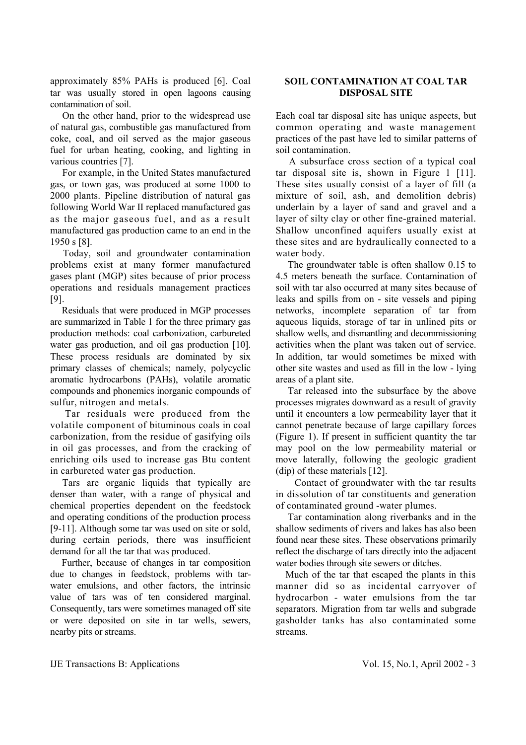approximately 85% PAHs is produced [6]. Coal tar was usually stored in open lagoons causing contamination of soil.

 On the other hand, prior to the widespread use of natural gas, combustible gas manufactured from coke, coal, and oil served as the major gaseous fuel for urban heating, cooking, and lighting in various countries [7].

 For example, in the United States manufactured gas, or town gas, was produced at some 1000 to 2000 plants. Pipeline distribution of natural gas following World War II replaced manufactured gas as the major gaseous fuel, and as a result manufactured gas production came to an end in the 1950 s [8].

 Today, soil and groundwater contamination problems exist at many former manufactured gases plant (MGP) sites because of prior process operations and residuals management practices [9].

 Residuals that were produced in MGP processes are summarized in Table 1 for the three primary gas production methods: coal carbonization, carbureted water gas production, and oil gas production [10]. These process residuals are dominated by six primary classes of chemicals; namely, polycyclic aromatic hydrocarbons (PAHs), volatile aromatic compounds and phonemics inorganic compounds of sulfur, nitrogen and metals.

 Tar residuals were produced from the volatile component of bituminous coals in coal carbonization, from the residue of gasifying oils in oil gas processes, and from the cracking of enriching oils used to increase gas Btu content in carbureted water gas production.

 Tars are organic liquids that typically are denser than water, with a range of physical and chemical properties dependent on the feedstock and operating conditions of the production process [9-11]. Although some tar was used on site or sold, during certain periods, there was insufficient demand for all the tar that was produced.

 Further, because of changes in tar composition due to changes in feedstock, problems with tarwater emulsions, and other factors, the intrinsic value of tars was of ten considered marginal. Consequently, tars were sometimes managed off site or were deposited on site in tar wells, sewers, nearby pits or streams.

# **SOIL CONTAMINATION AT COAL TAR DISPOSAL SITE**

Each coal tar disposal site has unique aspects, but common operating and waste management practices of the past have led to similar patterns of soil contamination.

 A subsurface cross section of a typical coal tar disposal site is, shown in Figure 1 [11]. These sites usually consist of a layer of fill (a mixture of soil, ash, and demolition debris) underlain by a layer of sand and gravel and a layer of silty clay or other fine-grained material. Shallow unconfined aquifers usually exist at these sites and are hydraulically connected to a water body.

 The groundwater table is often shallow 0.15 to 4.5 meters beneath the surface. Contamination of soil with tar also occurred at many sites because of leaks and spills from on - site vessels and piping networks, incomplete separation of tar from aqueous liquids, storage of tar in unlined pits or shallow wells, and dismantling and decommissioning activities when the plant was taken out of service. In addition, tar would sometimes be mixed with other site wastes and used as fill in the low - lying areas of a plant site.

 Tar released into the subsurface by the above processes migrates downward as a result of gravity until it encounters a low permeability layer that it cannot penetrate because of large capillary forces (Figure 1). If present in sufficient quantity the tar may pool on the low permeability material or move laterally, following the geologic gradient (dip) of these materials [12].

Contact of groundwater with the tar results in dissolution of tar constituents and generation of contaminated ground -water plumes.

 Tar contamination along riverbanks and in the shallow sediments of rivers and lakes has also been found near these sites. These observations primarily reflect the discharge of tars directly into the adjacent water bodies through site sewers or ditches.

 Much of the tar that escaped the plants in this manner did so as incidental carryover of hydrocarbon - water emulsions from the tar separators. Migration from tar wells and subgrade gasholder tanks has also contaminated some streams.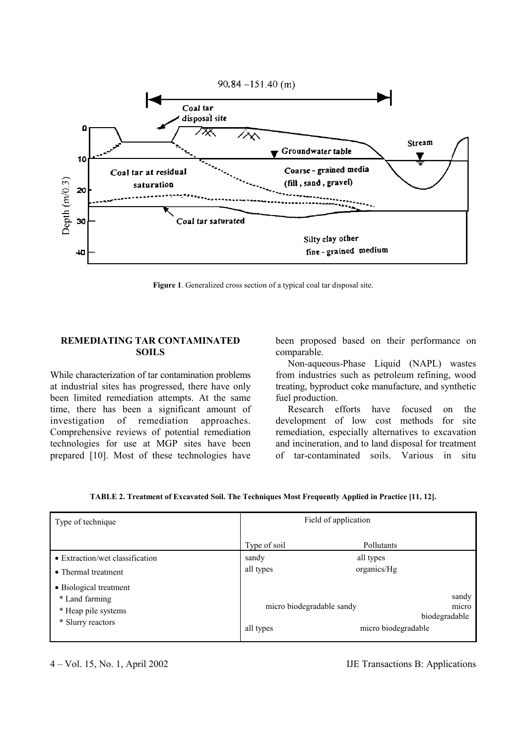

**Figure 1**. Generalized cross section of a typical coal tar disposal site.

### **REMEDIATING TAR CONTAMINATED SOILS**

While characterization of tar contamination problems at industrial sites has progressed, there have only been limited remediation attempts. At the same time, there has been a significant amount of investigation of remediation approaches. Comprehensive reviews of potential remediation technologies for use at MGP sites have been prepared [10]. Most of these technologies have been proposed based on their performance on comparable.

 Non-aqueous-Phase Liquid (NAPL) wastes from industries such as petroleum refining, wood treating, byproduct coke manufacture, and synthetic fuel production.

 Research efforts have focused on the development of low cost methods for site remediation, especially alternatives to excavation and incineration, and to land disposal for treatment of tar-contaminated soils. Various in situ

| Type of technique                                                                    | Field of application                   |                          |                                 |
|--------------------------------------------------------------------------------------|----------------------------------------|--------------------------|---------------------------------|
|                                                                                      | Type of soil                           | Pollutants               |                                 |
| • Extraction/wet classification<br>• Thermal treatment                               | sandy<br>all types                     | all types<br>organics/Hg |                                 |
| • Biological treatment<br>* Land farming<br>* Heap pile systems<br>* Slurry reactors | micro biodegradable sandy<br>all types | micro biodegradable      | sandy<br>micro<br>biodegradable |

4 – Vol. 15, No. 1, April 2002 IJE Transactions B: Applications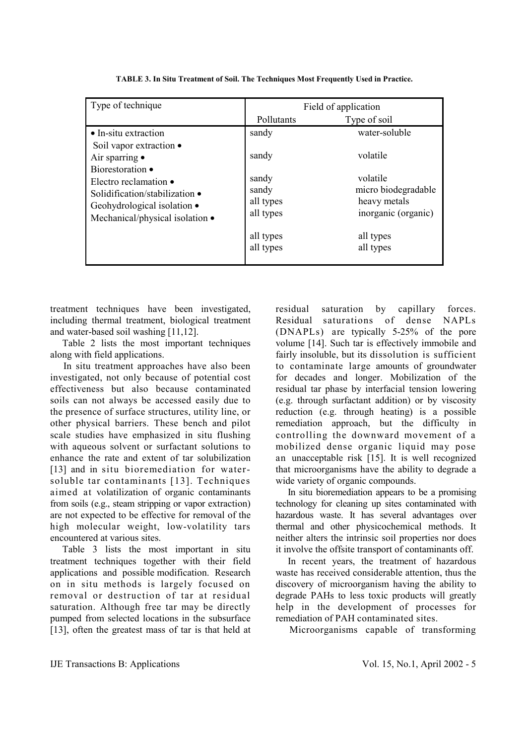| Type of technique                                                                                                                             | Field of application                     |                                                                        |  |
|-----------------------------------------------------------------------------------------------------------------------------------------------|------------------------------------------|------------------------------------------------------------------------|--|
|                                                                                                                                               | Pollutants                               | Type of soil                                                           |  |
| • In-situ extraction                                                                                                                          | sandy                                    | water-soluble                                                          |  |
| Soil vapor extraction •<br>Air sparring $\bullet$                                                                                             | sandy                                    | volatile                                                               |  |
| Biorestoration •<br>Electro reclamation •<br>Solidification/stabilization •<br>Geohydrological isolation •<br>Mechanical/physical isolation • | sandy<br>sandy<br>all types<br>all types | volatile<br>micro biodegradable<br>heavy metals<br>inorganic (organic) |  |
|                                                                                                                                               | all types<br>all types                   | all types<br>all types                                                 |  |

**TABLE 3. In Situ Treatment of Soil. The Techniques Most Frequently Used in Practice.** 

treatment techniques have been investigated, including thermal treatment, biological treatment and water-based soil washing [11,12].

 Table 2 lists the most important techniques along with field applications.

 In situ treatment approaches have also been investigated, not only because of potential cost effectiveness but also because contaminated soils can not always be accessed easily due to the presence of surface structures, utility line, or other physical barriers. These bench and pilot scale studies have emphasized in situ flushing with aqueous solvent or surfactant solutions to enhance the rate and extent of tar solubilization [13] and in situ bioremediation for watersoluble tar contaminants [13]. Techniques aimed at volatilization of organic contaminants from soils (e.g., steam stripping or vapor extraction) are not expected to be effective for removal of the high molecular weight, low-volatility tars encountered at various sites.

 Table 3 lists the most important in situ treatment techniques together with their field applications and possiblemodification. Research on in situ methods is largely focused on removal or destruction of tar at residual saturation. Although free tar may be directly pumped from selected locations in the subsurface [13], often the greatest mass of tar is that held at residual saturation by capillary forces. Residual saturations of dense NAPLs (DNAPLs) are typically 5-25% of the pore volume [14]. Such tar is effectively immobile and fairly insoluble, but its dissolution is sufficient to contaminate large amounts of groundwater for decades and longer. Mobilization of the residual tar phase by interfacial tension lowering (e.g. through surfactant addition) or by viscosity reduction (e.g. through heating) is a possible remediation approach, but the difficulty in controlling the downward movement of a mobilized dense organic liquid may pose an unacceptable risk [15]. It is well recognized that microorganisms have the ability to degrade a wide variety of organic compounds.

 In situ bioremediation appears to be a promising technology for cleaning up sites contaminated with hazardous waste. It has several advantages over thermal and other physicochemical methods. It neither alters the intrinsic soil properties nor does it involve the offsite transport of contaminants off.

 In recent years, the treatment of hazardous waste has received considerable attention, thus the discovery of microorganism having the ability to degrade PAHs to less toxic products will greatly help in the development of processes for remediation of PAH contaminated sites.

Microorganisms capable of transforming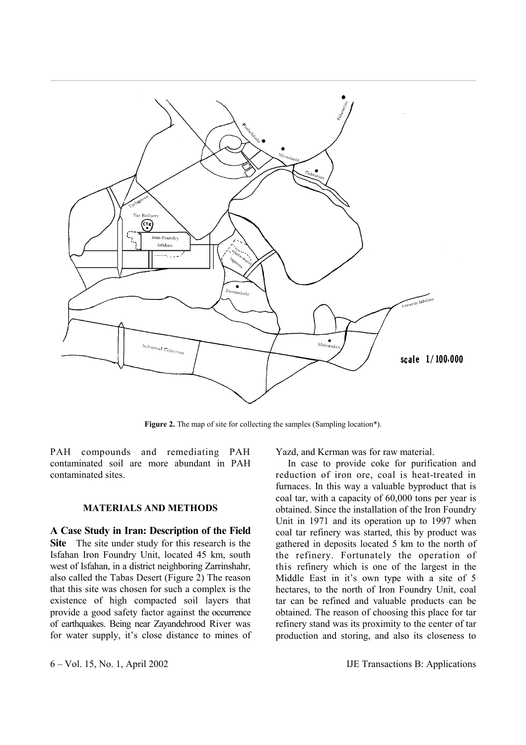

Figure 2. The map of site for collecting the samples (Sampling location\*).

PAH compounds and remediating PAH contaminated soil are more abundant in PAH contaminated sites.

# **MATERIALS AND METHODS**

**A Case Study in Iran: Description of the Field Site** The site under study for this research is the Isfahan Iron Foundry Unit, located 45 km, south west of Isfahan, in a district neighboring Zarrinshahr, also called the Tabas Desert (Figure 2) The reason that this site was chosen for such a complex is the existence of high compacted soil layers that provide a good safety factor against the occurrence of earthquakes. Being near Zayandehrood River was for water supply, it's close distance to mines of

Yazd, and Kerman was for raw material.

 In case to provide coke for purification and reduction of iron ore, coal is heat-treated in furnaces. In this way a valuable byproduct that is coal tar, with a capacity of 60,000 tons per year is obtained. Since the installation of the Iron Foundry Unit in 1971 and its operation up to 1997 when coal tar refinery was started, this by product was gathered in deposits located 5 km to the north of the refinery. Fortunately the operation of this refinery which is one of the largest in the Middle East in it's own type with a site of 5 hectares, to the north of Iron Foundry Unit, coal tar can be refined and valuable products can be obtained. The reason of choosing this place for tar refinery stand was its proximity to the center of tar production and storing, and also its closeness to

6 – Vol. 15, No. 1, April 2002 IJE Transactions B: Applications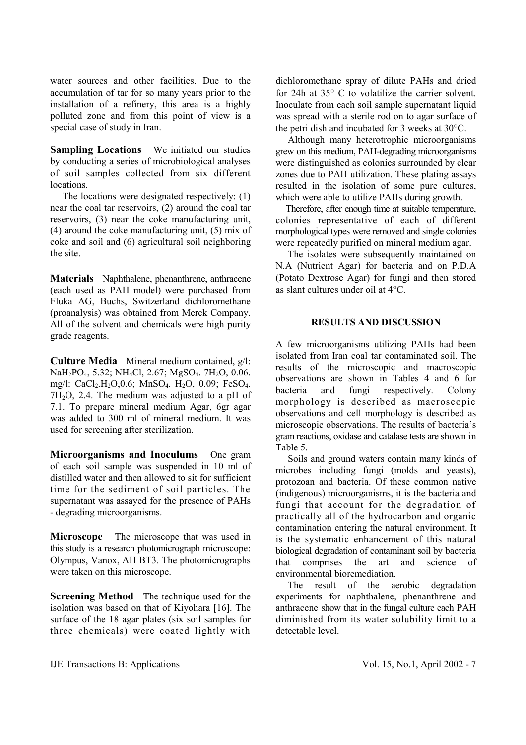water sources and other facilities. Due to the accumulation of tar for so many years prior to the installation of a refinery, this area is a highly polluted zone and from this point of view is a special case of study in Iran.

**Sampling Locations** We initiated our studies by conducting a series of microbiological analyses of soil samples collected from six different locations.

 The locations were designated respectively: (1) near the coal tar reservoirs, (2) around the coal tar reservoirs, (3) near the coke manufacturing unit, (4) around the coke manufacturing unit, (5) mix of coke and soil and (6) agricultural soil neighboring the site.

**Materials** Naphthalene, phenanthrene, anthracene (each used as PAH model) were purchased from Fluka AG, Buchs, Switzerland dichloromethane (proanalysis) was obtained from Merck Company. All of the solvent and chemicals were high purity grade reagents.

**Culture Media** Mineral medium contained, g/l: NaH<sub>2</sub>PO<sub>4</sub>, 5.32; NH<sub>4</sub>Cl, 2.67; MgSO<sub>4</sub>. 7H<sub>2</sub>O, 0.06. mg/l: CaCl<sub>2</sub>.H<sub>2</sub>O, 0.6; MnSO<sub>4</sub>. H<sub>2</sub>O, 0.09; FeSO<sub>4</sub>.  $7H<sub>2</sub>O$ , 2.4. The medium was adjusted to a pH of 7.1. To prepare mineral medium Agar, 6gr agar was added to 300 ml of mineral medium. It was used for screening after sterilization.

**Microorganisms and Inoculums** One gram of each soil sample was suspended in 10 ml of distilled water and then allowed to sit for sufficient time for the sediment of soil particles. The supernatant was assayed for the presence of PAHs - degrading microorganisms.

**Microscope** The microscope that was used in this study is a research photomicrograph microscope: Olympus, Vanox, AH BT3. The photomicrographs were taken on this microscope.

**Screening Method** The technique used for the isolation was based on that of Kiyohara [16]. The surface of the 18 agar plates (six soil samples for three chemicals) were coated lightly with

dichloromethane spray of dilute PAHs and dried for 24h at 35° C to volatilize the carrier solvent. Inoculate from each soil sample supernatant liquid was spread with a sterile rod on to agar surface of the petri dish and incubated for 3 weeks at 30°C.

 Although many heterotrophic microorganisms grew on this medium, PAH-degrading microorganisms were distinguished as colonies surrounded by clear zones due to PAH utilization. These plating assays resulted in the isolation of some pure cultures, which were able to utilize PAHs during growth.

 Therefore, after enough time at suitable temperature, colonies representative of each of different morphological types were removed and single colonies were repeatedly purified on mineral medium agar.

 The isolates were subsequently maintained on N.A (Nutrient Agar) for bacteria and on P.D.A (Potato Dextrose Agar) for fungi and then stored as slant cultures under oil at 4°C.

## **RESULTS AND DISCUSSION**

A few microorganisms utilizing PAHs had been isolated from Iran coal tar contaminated soil. The results of the microscopic and macroscopic observations are shown in Tables 4 and 6 for bacteria and fungi respectively. Colony morphology is described as macroscopic observations and cell morphology is described as microscopic observations. The results of bacteria's gram reactions, oxidase and catalase tests are shown in Table 5.

 Soils and ground waters contain many kinds of microbes including fungi (molds and yeasts), protozoan and bacteria. Of these common native (indigenous) microorganisms, it is the bacteria and fungi that account for the degradation of practically all of the hydrocarbon and organic contamination entering the natural environment. It is the systematic enhancement of this natural biological degradation of contaminant soil by bacteria that comprises the art and science of environmental bioremediation.

 The result of the aerobic degradation experiments for naphthalene, phenanthrene and anthracene show that in the fungal culture each PAH diminished from its water solubility limit to a detectable level.

IJE Transactions B: Applications Vol. 15, No.1, April 2002 - 7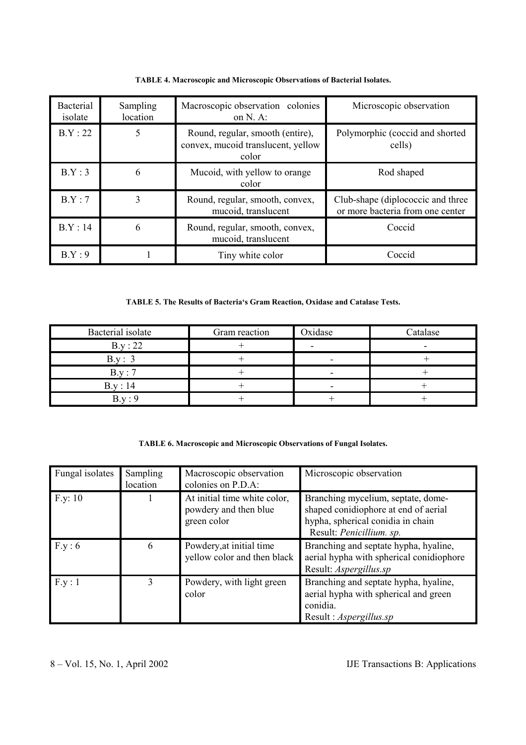| <b>Bacterial</b><br>isolate | Sampling<br>location | Macroscopic observation colonies<br>on $N.$ A:                                  | Microscopic observation                                               |
|-----------------------------|----------------------|---------------------------------------------------------------------------------|-----------------------------------------------------------------------|
| B.Y:22                      | 5                    | Round, regular, smooth (entire),<br>convex, mucoid translucent, yellow<br>color | Polymorphic (coccid and shorted<br>cells)                             |
| B.Y:3                       | 6                    | Mucoid, with yellow to orange<br>color                                          | Rod shaped                                                            |
| B.Y:7                       | 3                    | Round, regular, smooth, convex,<br>mucoid, translucent                          | Club-shape (diplococcic and three<br>or more bacteria from one center |
| B.Y:14                      | 6                    | Round, regular, smooth, convex,<br>mucoid, translucent                          | Coccid                                                                |
| B.Y:9                       |                      | Tiny white color                                                                | Coccid                                                                |

**TABLE 4. Macroscopic and Microscopic Observations of Bacterial Isolates.**

**TABLE 5. The Results of Bacteria's Gram Reaction, Oxidase and Catalase Tests.**

| Bacterial isolate | Gram reaction | Oxidase | Catalase |
|-------------------|---------------|---------|----------|
| B.y:22            |               |         |          |
| B.v :             |               |         |          |
| $R_V \cdot 7$     |               |         |          |
| B.y:14            |               |         |          |
|                   |               |         |          |

|  |  |  |  | TABLE 6. Macroscopic and Microscopic Observations of Fungal Isolates. |
|--|--|--|--|-----------------------------------------------------------------------|
|--|--|--|--|-----------------------------------------------------------------------|

| Fungal isolates | <b>Sampling</b><br>location | Macroscopic observation<br>colonies on P.D.A:                        | Microscopic observation                                                                                                                     |
|-----------------|-----------------------------|----------------------------------------------------------------------|---------------------------------------------------------------------------------------------------------------------------------------------|
| F.y: 10         |                             | At initial time white color,<br>powdery and then blue<br>green color | Branching mycelium, septate, dome-<br>shaped conidiophore at end of aerial<br>hypha, spherical conidia in chain<br>Result: Penicillium. sp. |
| F.y:6           | 6                           | Powdery, at initial time<br>yellow color and then black              | Branching and septate hypha, hyaline,<br>aerial hypha with spherical conidiophore<br>Result: Aspergillus.sp                                 |
| F.y:1           | $\mathbf{3}$                | Powdery, with light green<br>color                                   | Branching and septate hypha, hyaline,<br>aerial hypha with spherical and green<br>conidia.<br>Result: Aspergillus.sp                        |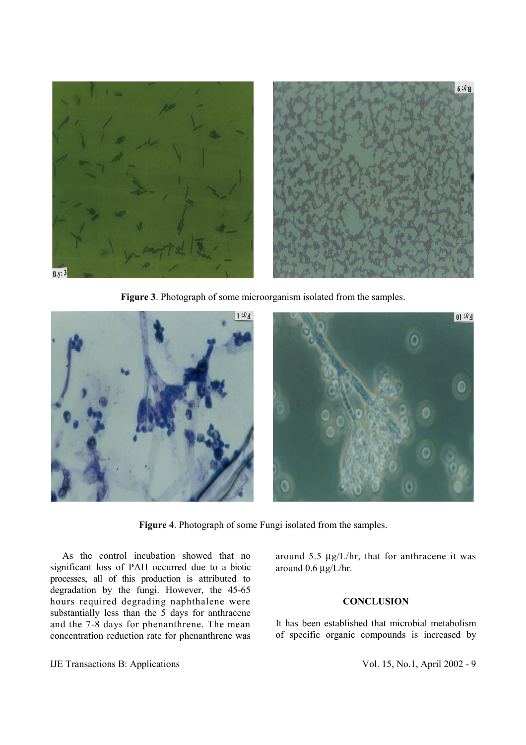

**Figure 3**. Photograph of some microorganism isolated from the samples.

**Figure 4**. Photograph of some Fungi isolated from the samples.

 As the control incubation showed that no significant loss of PAH occurred due to a biotic processes, all of this production is attributed to degradation by the fungi. However, the 45-65 hours required degrading naphthalene were substantially less than the 5 days for anthracene and the 7-8 days for phenanthrene. The mean concentration reduction rate for phenanthrene was

IJE Transactions B: Applications Vol. 15, No.1, April 2002 - 9

around 5.5  $\mu$ g/L/hr, that for anthracene it was around 0.6 µg/L/hr.

## **CONCLUSION**

It has been established that microbial metabolism of specific organic compounds is increased by